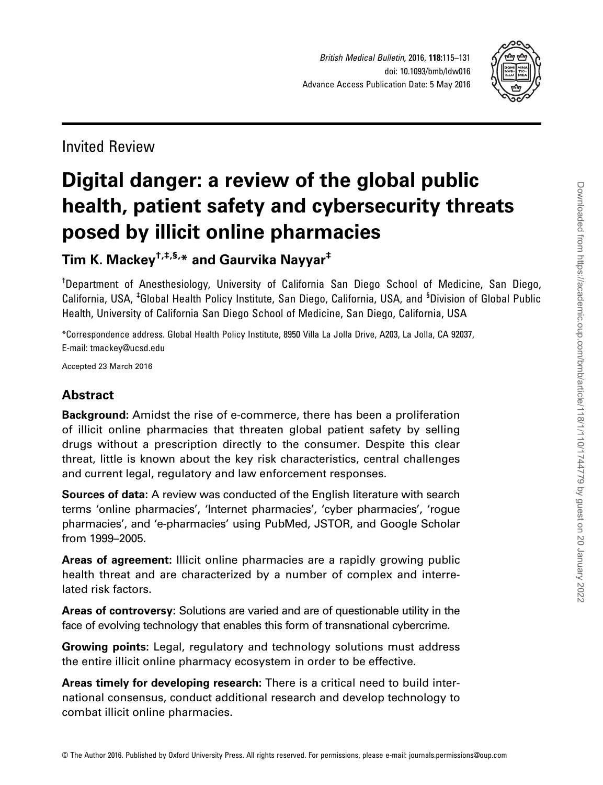

Invited Review

# Digital danger: a review of the global public health, patient safety and cybersecurity threats posed by illicit online pharmacies

# Tim K. Mackey<sup>†,‡,§,\*</sup> and Gaurvika Nayyar<sup>‡</sup>

† Department of Anesthesiology, University of California San Diego School of Medicine, San Diego, California, USA, <sup>‡</sup>Global Health Policy Institute, San Diego, California, USA, and <sup>§</sup>Division of Global Public Health, University of California San Diego School of Medicine, San Diego, California, USA

\*Correspondence address. Global Health Policy Institute, 8950 Villa La Jolla Drive, A203, La Jolla, CA 92037, E-mail: tmackey@ucsd.edu

Accepted 23 March 2016

# **Abstract**

Background: Amidst the rise of e-commerce, there has been a proliferation of illicit online pharmacies that threaten global patient safety by selling drugs without a prescription directly to the consumer. Despite this clear threat, little is known about the key risk characteristics, central challenges and current legal, regulatory and law enforcement responses.

Sources of data: A review was conducted of the English literature with search terms 'online pharmacies', 'Internet pharmacies', 'cyber pharmacies', 'rogue pharmacies', and 'e-pharmacies' using PubMed, JSTOR, and Google Scholar from 1999–2005.

Areas of agreement: Illicit online pharmacies are a rapidly growing public health threat and are characterized by a number of complex and interrelated risk factors.

Areas of controversy: Solutions are varied and are of questionable utility in the face of evolving technology that enables this form of transnational cybercrime.

Growing points: Legal, regulatory and technology solutions must address the entire illicit online pharmacy ecosystem in order to be effective.

Areas timely for developing research: There is a critical need to build international consensus, conduct additional research and develop technology to combat illicit online pharmacies.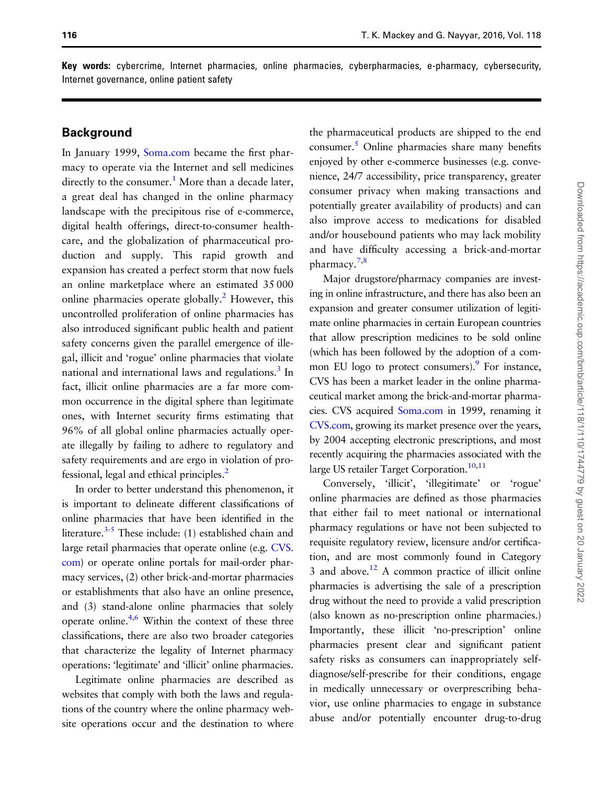Key words: cybercrime, Internet pharmacies, online pharmacies, cyberpharmacies, e-pharmacy, cybersecurity, Internet governance, online patient safety

#### **Background**

In January 1999, [Soma.com](http://Soma.com) became the first pharmacy to operate via the Internet and sell medicines directly to the consumer.<sup>[1](#page-13-0)</sup> More than a decade later, a great deal has changed in the online pharmacy landscape with the precipitous rise of e-commerce, digital health offerings, direct-to-consumer healthcare, and the globalization of pharmaceutical production and supply. This rapid growth and expansion has created a perfect storm that now fuels an online marketplace where an estimated 35 000 online pharmacies operate globally.<sup>2</sup> However, this uncontrolled proliferation of online pharmacies has also introduced significant public health and patient safety concerns given the parallel emergence of illegal, illicit and 'rogue' online pharmacies that violate national and international laws and regulations.<sup>[3](#page-13-0)</sup> In fact, illicit online pharmacies are a far more common occurrence in the digital sphere than legitimate ones, with Internet security firms estimating that 96% of all global online pharmacies actually operate illegally by failing to adhere to regulatory and safety requirements and are ergo in violation of professional, legal and ethical principles.[2](#page-13-0)

In order to better understand this phenomenon, it is important to delineate different classifications of online pharmacies that have been identified in the literature. $3-5$  These include: (1) established chain and large retail pharmacies that operate online (e.g. [CVS.](http://www.CVS.com) [com](http://www.CVS.com)) or operate online portals for mail-order pharmacy services, (2) other brick-and-mortar pharmacies or establishments that also have an online presence, and (3) stand-alone online pharmacies that solely operate online. $4,6$  Within the context of these three classifications, there are also two broader categories that characterize the legality of Internet pharmacy operations: 'legitimate' and 'illicit' online pharmacies.

Legitimate online pharmacies are described as websites that comply with both the laws and regulations of the country where the online pharmacy website operations occur and the destination to where the pharmaceutical products are shipped to the end consumer.<sup>5</sup> Online pharmacies share many benefits enjoyed by other e-commerce businesses (e.g. convenience, 24/7 accessibility, price transparency, greater consumer privacy when making transactions and potentially greater availability of products) and can also improve access to medications for disabled and/or housebound patients who may lack mobility and have difficulty accessing a brick-and-mortar pharmacy.<sup>[7,8](#page-13-0)</sup>

Major drugstore/pharmacy companies are investing in online infrastructure, and there has also been an expansion and greater consumer utilization of legitimate online pharmacies in certain European countries that allow prescription medicines to be sold online (which has been followed by the adoption of a common EU logo to protect consumers).<sup>9</sup> For instance, CVS has been a market leader in the online pharmaceutical market among the brick-and-mortar pharmacies. CVS acquired [Soma.com](http://www.Soma.com) in 1999, renaming it [CVS.com](http://www.CVS.com), growing its market presence over the years, by 2004 accepting electronic prescriptions, and most recently acquiring the pharmacies associated with the large US retailer Target Corporation.<sup>[10,](#page-13-0)[11](#page-14-0)</sup>

Conversely, 'illicit', 'illegitimate' or 'rogue' online pharmacies are defined as those pharmacies that either fail to meet national or international pharmacy regulations or have not been subjected to requisite regulatory review, licensure and/or certification, and are most commonly found in Category 3 and above.<sup>12</sup> A common practice of illicit online pharmacies is advertising the sale of a prescription drug without the need to provide a valid prescription (also known as no-prescription online pharmacies.) Importantly, these illicit 'no-prescription' online pharmacies present clear and significant patient safety risks as consumers can inappropriately selfdiagnose/self-prescribe for their conditions, engage in medically unnecessary or overprescribing behavior, use online pharmacies to engage in substance abuse and/or potentially encounter drug-to-drug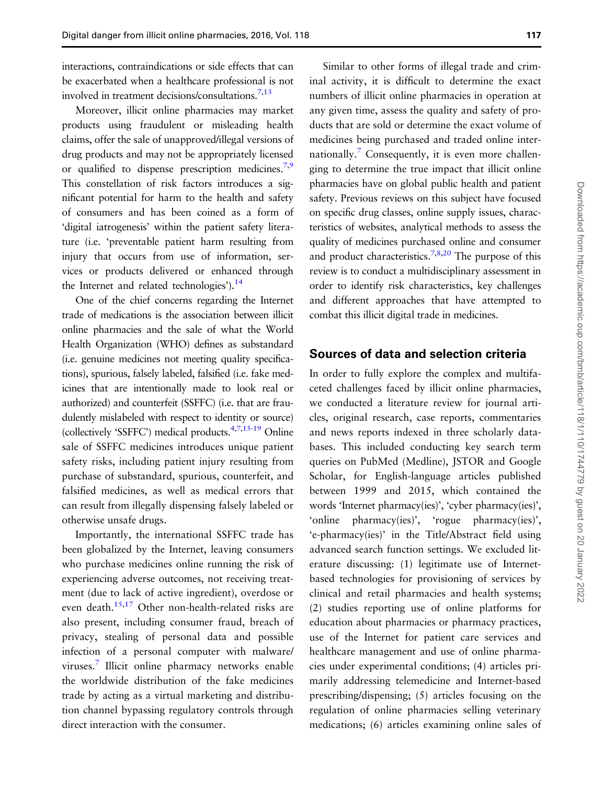interactions, contraindications or side effects that can be exacerbated when a healthcare professional is not involved in treatment decisions/consultations.[7](#page-13-0)[,13](#page-14-0)

Moreover, illicit online pharmacies may market products using fraudulent or misleading health claims, offer the sale of unapproved/illegal versions of drug products and may not be appropriately licensed or qualified to dispense prescription medicines.<sup>[7,9](#page-13-0)</sup> This constellation of risk factors introduces a significant potential for harm to the health and safety of consumers and has been coined as a form of 'digital iatrogenesis' within the patient safety literature (i.e. 'preventable patient harm resulting from injury that occurs from use of information, services or products delivered or enhanced through the Internet and related technologies'). $^{14}$ 

One of the chief concerns regarding the Internet trade of medications is the association between illicit online pharmacies and the sale of what the World Health Organization (WHO) defines as substandard (i.e. genuine medicines not meeting quality specifications), spurious, falsely labeled, falsified (i.e. fake medicines that are intentionally made to look real or authorized) and counterfeit (SSFFC) (i.e. that are fraudulently mislabeled with respect to identity or source) (collectively 'SSFFC') medical products. $4,7,15-19$  $4,7,15-19$  Online sale of SSFFC medicines introduces unique patient safety risks, including patient injury resulting from purchase of substandard, spurious, counterfeit, and falsified medicines, as well as medical errors that can result from illegally dispensing falsely labeled or otherwise unsafe drugs.

Importantly, the international SSFFC trade has been globalized by the Internet, leaving consumers who purchase medicines online running the risk of experiencing adverse outcomes, not receiving treatment (due to lack of active ingredient), overdose or even death.<sup>15,17</sup> Other non-health-related risks are also present, including consumer fraud, breach of privacy, stealing of personal data and possible infection of a personal computer with malware/ viruses.[7](#page-13-0) Illicit online pharmacy networks enable the worldwide distribution of the fake medicines trade by acting as a virtual marketing and distribution channel bypassing regulatory controls through direct interaction with the consumer.

Similar to other forms of illegal trade and criminal activity, it is difficult to determine the exact numbers of illicit online pharmacies in operation at any given time, assess the quality and safety of products that are sold or determine the exact volume of medicines being purchased and traded online inter-nationally.<sup>[7](#page-13-0)</sup> Consequently, it is even more challenging to determine the true impact that illicit online pharmacies have on global public health and patient safety. Previous reviews on this subject have focused on specific drug classes, online supply issues, characteristics of websites, analytical methods to assess the quality of medicines purchased online and consumer and product characteristics.<sup>[7,8,](#page-13-0)[20](#page-14-0)</sup> The purpose of this review is to conduct a multidisciplinary assessment in order to identify risk characteristics, key challenges and different approaches that have attempted to combat this illicit digital trade in medicines.

#### Sources of data and selection criteria

In order to fully explore the complex and multifaceted challenges faced by illicit online pharmacies, we conducted a literature review for journal articles, original research, case reports, commentaries and news reports indexed in three scholarly databases. This included conducting key search term queries on PubMed (Medline), JSTOR and Google Scholar, for English-language articles published between 1999 and 2015, which contained the words 'Internet pharmacy(ies)', 'cyber pharmacy(ies)', 'online pharmacy(ies)', 'rogue pharmacy(ies)', 'e-pharmacy(ies)' in the Title/Abstract field using advanced search function settings. We excluded literature discussing: (1) legitimate use of Internetbased technologies for provisioning of services by clinical and retail pharmacies and health systems; (2) studies reporting use of online platforms for education about pharmacies or pharmacy practices, use of the Internet for patient care services and healthcare management and use of online pharmacies under experimental conditions; (4) articles primarily addressing telemedicine and Internet-based prescribing/dispensing; (5) articles focusing on the regulation of online pharmacies selling veterinary medications; (6) articles examining online sales of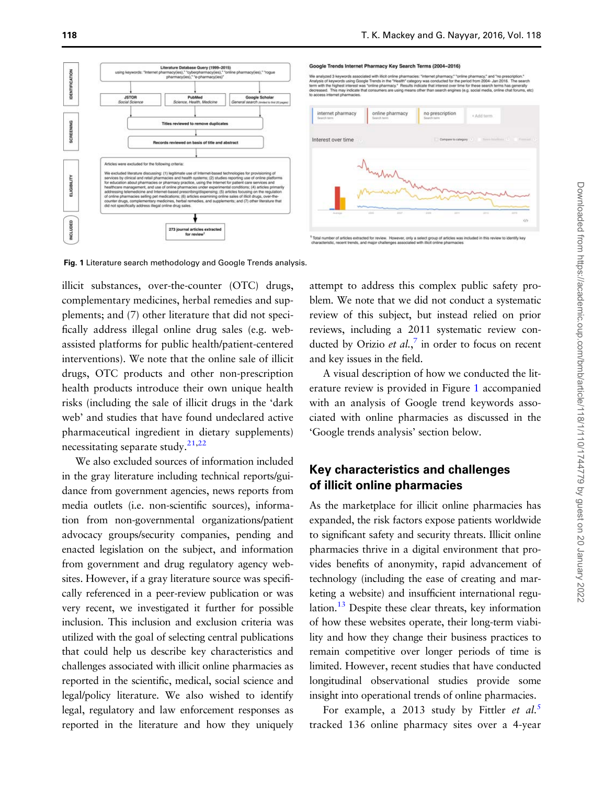<span id="page-3-0"></span>



pharmacies: "inte<br>alth" category wa<br>Results indicate

d. This may indicate the

Fig. 1 Literature search methodology and Google Trends analysis.

illicit substances, over-the-counter (OTC) drugs, complementary medicines, herbal remedies and supplements; and (7) other literature that did not specifically address illegal online drug sales (e.g. webassisted platforms for public health/patient-centered interventions). We note that the online sale of illicit drugs, OTC products and other non-prescription health products introduce their own unique health risks (including the sale of illicit drugs in the 'dark web' and studies that have found undeclared active pharmaceutical ingredient in dietary supplements) necessitating separate study. $21,22$ 

We also excluded sources of information included in the gray literature including technical reports/guidance from government agencies, news reports from media outlets (i.e. non-scientific sources), information from non-governmental organizations/patient advocacy groups/security companies, pending and enacted legislation on the subject, and information from government and drug regulatory agency websites. However, if a gray literature source was specifically referenced in a peer-review publication or was very recent, we investigated it further for possible inclusion. This inclusion and exclusion criteria was utilized with the goal of selecting central publications that could help us describe key characteristics and challenges associated with illicit online pharmacies as reported in the scientific, medical, social science and legal/policy literature. We also wished to identify legal, regulatory and law enforcement responses as reported in the literature and how they uniquely attempt to address this complex public safety problem. We note that we did not conduct a systematic review of this subject, but instead relied on prior reviews, including a 2011 systematic review conducted by Orizio et  $al.^{7}$  $al.^{7}$  $al.^{7}$  in order to focus on recent and key issues in the field.

A visual description of how we conducted the literature review is provided in Figure 1 accompanied with an analysis of Google trend keywords associated with online pharmacies as discussed in the 'Google trends analysis' section below.

# Key characteristics and challenges of illicit online pharmacies

As the marketplace for illicit online pharmacies has expanded, the risk factors expose patients worldwide to significant safety and security threats. Illicit online pharmacies thrive in a digital environment that provides benefits of anonymity, rapid advancement of technology (including the ease of creating and marketing a website) and insufficient international regulation. $13$  Despite these clear threats, key information of how these websites operate, their long-term viability and how they change their business practices to remain competitive over longer periods of time is limited. However, recent studies that have conducted longitudinal observational studies provide some insight into operational trends of online pharmacies.

For example, a 2013 study by Fittler *et al.*<sup>[5](#page-13-0)</sup> tracked 136 online pharmacy sites over a 4-year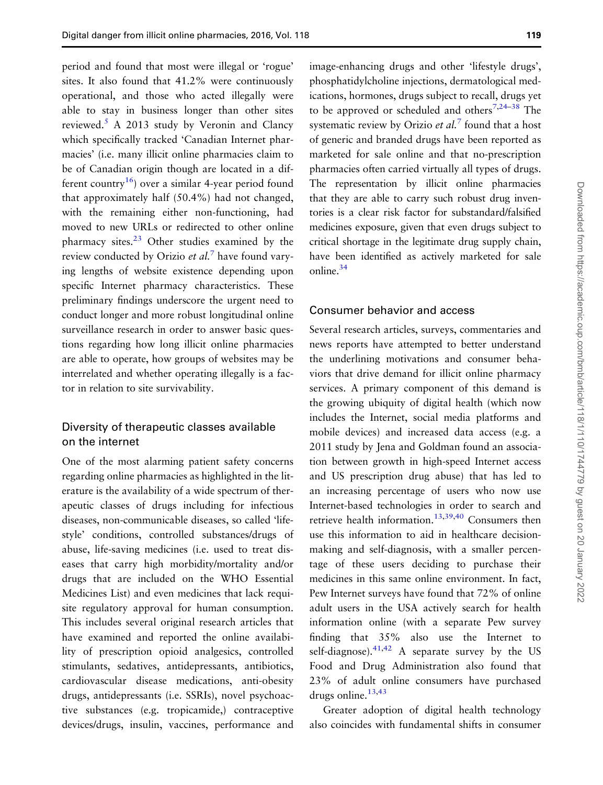period and found that most were illegal or 'rogue' sites. It also found that 41.2% were continuously operational, and those who acted illegally were able to stay in business longer than other sites reviewed. $5$  A 2013 study by Veronin and Clancy which specifically tracked 'Canadian Internet pharmacies' (i.e. many illicit online pharmacies claim to be of Canadian origin though are located in a different country<sup>16</sup>) over a similar 4-year period found that approximately half (50.4%) had not changed, with the remaining either non-functioning, had moved to new URLs or redirected to other online pharmacy sites.[23](#page-14-0) Other studies examined by the review conducted by Orizio et  $al$ .<sup>[7](#page-13-0)</sup> have found varying lengths of website existence depending upon specific Internet pharmacy characteristics. These preliminary findings underscore the urgent need to conduct longer and more robust longitudinal online surveillance research in order to answer basic questions regarding how long illicit online pharmacies are able to operate, how groups of websites may be interrelated and whether operating illegally is a factor in relation to site survivability.

#### Diversity of therapeutic classes available on the internet

One of the most alarming patient safety concerns regarding online pharmacies as highlighted in the literature is the availability of a wide spectrum of therapeutic classes of drugs including for infectious diseases, non-communicable diseases, so called 'lifestyle' conditions, controlled substances/drugs of abuse, life-saving medicines (i.e. used to treat diseases that carry high morbidity/mortality and/or drugs that are included on the WHO Essential Medicines List) and even medicines that lack requisite regulatory approval for human consumption. This includes several original research articles that have examined and reported the online availability of prescription opioid analgesics, controlled stimulants, sedatives, antidepressants, antibiotics, cardiovascular disease medications, anti-obesity drugs, antidepressants (i.e. SSRIs), novel psychoactive substances (e.g. tropicamide,) contraceptive devices/drugs, insulin, vaccines, performance and image-enhancing drugs and other 'lifestyle drugs', phosphatidylcholine injections, dermatological medications, hormones, drugs subject to recall, drugs yet to be approved or scheduled and others<sup>[7,](#page-13-0)[24](#page-14-0)–[38](#page-14-0)</sup> The systematic review by Orizio *et al.*<sup>[7](#page-13-0)</sup> found that a host of generic and branded drugs have been reported as marketed for sale online and that no-prescription pharmacies often carried virtually all types of drugs. The representation by illicit online pharmacies that they are able to carry such robust drug inventories is a clear risk factor for substandard/falsified medicines exposure, given that even drugs subject to critical shortage in the legitimate drug supply chain, have been identified as actively marketed for sale online.<sup>34</sup>

#### Consumer behavior and access

Several research articles, surveys, commentaries and news reports have attempted to better understand the underlining motivations and consumer behaviors that drive demand for illicit online pharmacy services. A primary component of this demand is the growing ubiquity of digital health (which now includes the Internet, social media platforms and mobile devices) and increased data access (e.g. a 2011 study by Jena and Goldman found an association between growth in high-speed Internet access and US prescription drug abuse) that has led to an increasing percentage of users who now use Internet-based technologies in order to search and retrieve health information.<sup>[13,39,40](#page-14-0)</sup> Consumers then use this information to aid in healthcare decisionmaking and self-diagnosis, with a smaller percentage of these users deciding to purchase their medicines in this same online environment. In fact, Pew Internet surveys have found that 72% of online adult users in the USA actively search for health information online (with a separate Pew survey finding that 35% also use the Internet to self-diagnose). $41,42$  A separate survey by the US Food and Drug Administration also found that 23% of adult online consumers have purchased drugs online. $13,43$  $13,43$ 

Greater adoption of digital health technology also coincides with fundamental shifts in consumer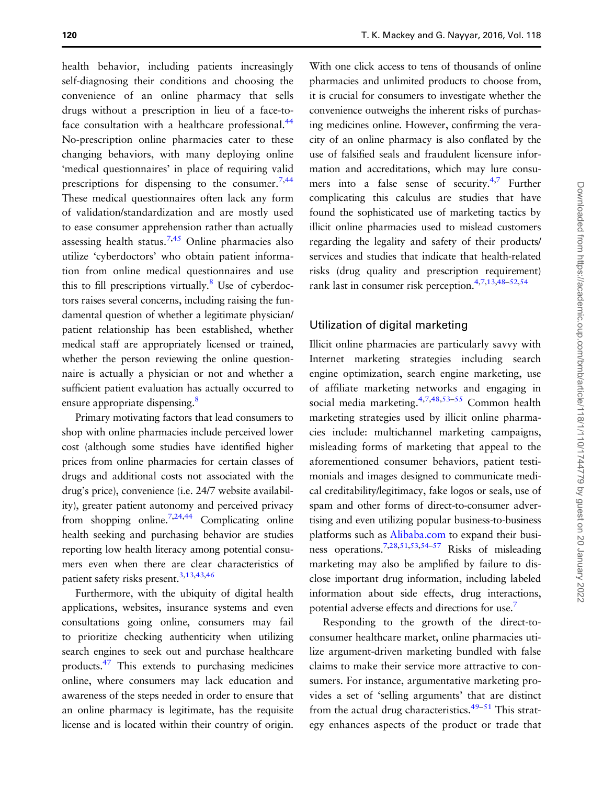health behavior, including patients increasingly self-diagnosing their conditions and choosing the convenience of an online pharmacy that sells drugs without a prescription in lieu of a face-toface consultation with a healthcare professional.<sup>44</sup> No-prescription online pharmacies cater to these changing behaviors, with many deploying online 'medical questionnaires' in place of requiring valid prescriptions for dispensing to the consumer.  $7,44$  $7,44$ These medical questionnaires often lack any form of validation/standardization and are mostly used to ease consumer apprehension rather than actually assessing health status.<sup>[7,](#page-13-0)[45](#page-15-0)</sup> Online pharmacies also utilize 'cyberdoctors' who obtain patient information from online medical questionnaires and use this to fill prescriptions virtually.<sup>8</sup> Use of cyberdoctors raises several concerns, including raising the fundamental question of whether a legitimate physician/ patient relationship has been established, whether medical staff are appropriately licensed or trained, whether the person reviewing the online questionnaire is actually a physician or not and whether a sufficient patient evaluation has actually occurred to ensure appropriate dispensing.<sup>8</sup>

Primary motivating factors that lead consumers to shop with online pharmacies include perceived lower cost (although some studies have identified higher prices from online pharmacies for certain classes of drugs and additional costs not associated with the drug's price), convenience (i.e. 24/7 website availability), greater patient autonomy and perceived privacy from shopping online.<sup>7,[24](#page-14-0),[44](#page-15-0)</sup> Complicating online health seeking and purchasing behavior are studies reporting low health literacy among potential consumers even when there are clear characteristics of patient safety risks present.<sup>3,[13](#page-14-0),[43,46](#page-15-0)</sup>

Furthermore, with the ubiquity of digital health applications, websites, insurance systems and even consultations going online, consumers may fail to prioritize checking authenticity when utilizing search engines to seek out and purchase healthcare products[.47](#page-15-0) This extends to purchasing medicines online, where consumers may lack education and awareness of the steps needed in order to ensure that an online pharmacy is legitimate, has the requisite license and is located within their country of origin.

With one click access to tens of thousands of online pharmacies and unlimited products to choose from, it is crucial for consumers to investigate whether the convenience outweighs the inherent risks of purchasing medicines online. However, confirming the veracity of an online pharmacy is also conflated by the use of falsified seals and fraudulent licensure information and accreditations, which may lure consu-mers into a false sense of security.<sup>4,[7](#page-13-0)</sup> Further complicating this calculus are studies that have found the sophisticated use of marketing tactics by illicit online pharmacies used to mislead customers regarding the legality and safety of their products/ services and studies that indicate that health-related risks (drug quality and prescription requirement) rank last in consumer risk perception.<sup>[4,7,](#page-13-0)[13](#page-14-0),[48](#page-15-0)-[52,54](#page-15-0)</sup>

#### Utilization of digital marketing

Illicit online pharmacies are particularly savvy with Internet marketing strategies including search engine optimization, search engine marketing, use of affiliate marketing networks and engaging in social media marketing.[4,7](#page-13-0)[,48,53](#page-15-0)–[55](#page-15-0) Common health marketing strategies used by illicit online pharmacies include: multichannel marketing campaigns, misleading forms of marketing that appeal to the aforementioned consumer behaviors, patient testimonials and images designed to communicate medical creditability/legitimacy, fake logos or seals, use of spam and other forms of direct-to-consumer advertising and even utilizing popular business-to-business platforms such as [Alibaba.com](http://www.Alibaba.com) to expand their business operations[.7](#page-13-0)[,28](#page-14-0)[,51,53,54](#page-15-0)–[57](#page-15-0) Risks of misleading marketing may also be amplified by failure to disclose important drug information, including labeled information about side effects, drug interactions, potential adverse effects and directions for use[.7](#page-13-0)

Responding to the growth of the direct-toconsumer healthcare market, online pharmacies utilize argument-driven marketing bundled with false claims to make their service more attractive to consumers. For instance, argumentative marketing provides a set of 'selling arguments' that are distinct from the actual drug characteristics.<sup>[49](#page-15-0)–[51](#page-15-0)</sup> This strategy enhances aspects of the product or trade that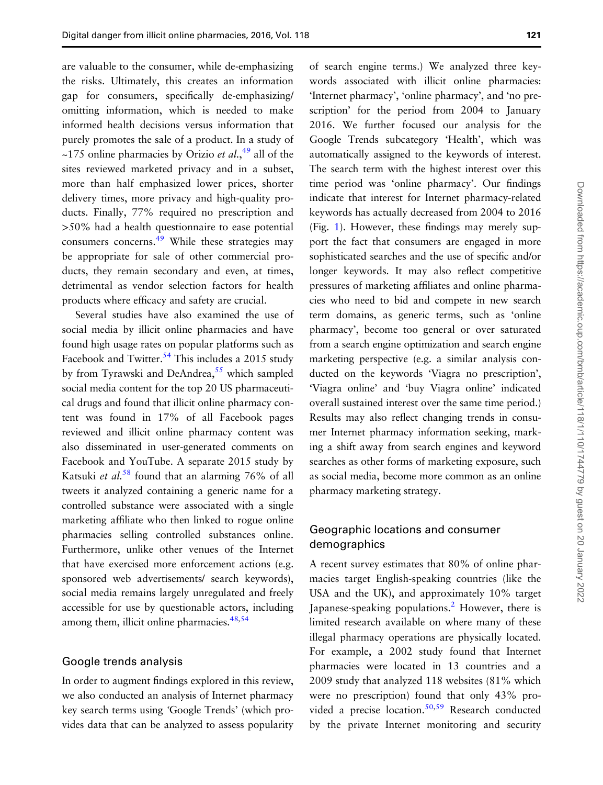are valuable to the consumer, while de-emphasizing the risks. Ultimately, this creates an information gap for consumers, specifically de-emphasizing/ omitting information, which is needed to make informed health decisions versus information that purely promotes the sale of a product. In a study of ~175 online pharmacies by Orizio *et al.*,<sup>[49](#page-15-0)</sup> all of the sites reviewed marketed privacy and in a subset, more than half emphasized lower prices, shorter delivery times, more privacy and high-quality products. Finally, 77% required no prescription and >50% had a health questionnaire to ease potential consumers concerns.<sup>49</sup> While these strategies may be appropriate for sale of other commercial products, they remain secondary and even, at times, detrimental as vendor selection factors for health products where efficacy and safety are crucial.

Several studies have also examined the use of social media by illicit online pharmacies and have found high usage rates on popular platforms such as Facebook and Twitter.<sup>[54](#page-15-0)</sup> This includes a 2015 study by from Tyrawski and DeAndrea,<sup>[55](#page-15-0)</sup> which sampled social media content for the top 20 US pharmaceutical drugs and found that illicit online pharmacy content was found in 17% of all Facebook pages reviewed and illicit online pharmacy content was also disseminated in user-generated comments on Facebook and YouTube. A separate 2015 study by Katsuki et al.<sup>[58](#page-15-0)</sup> found that an alarming 76% of all tweets it analyzed containing a generic name for a controlled substance were associated with a single marketing affiliate who then linked to rogue online pharmacies selling controlled substances online. Furthermore, unlike other venues of the Internet that have exercised more enforcement actions (e.g. sponsored web advertisements/ search keywords), social media remains largely unregulated and freely accessible for use by questionable actors, including among them, illicit online pharmacies.<sup>48,54</sup>

#### Google trends analysis

In order to augment findings explored in this review, we also conducted an analysis of Internet pharmacy key search terms using 'Google Trends' (which provides data that can be analyzed to assess popularity of search engine terms.) We analyzed three keywords associated with illicit online pharmacies: 'Internet pharmacy', 'online pharmacy', and 'no prescription' for the period from 2004 to January 2016. We further focused our analysis for the Google Trends subcategory 'Health', which was automatically assigned to the keywords of interest. The search term with the highest interest over this time period was 'online pharmacy'. Our findings indicate that interest for Internet pharmacy-related keywords has actually decreased from 2004 to 2016 (Fig. [1\)](#page-3-0). However, these findings may merely support the fact that consumers are engaged in more sophisticated searches and the use of specific and/or longer keywords. It may also reflect competitive pressures of marketing affiliates and online pharmacies who need to bid and compete in new search term domains, as generic terms, such as 'online pharmacy', become too general or over saturated from a search engine optimization and search engine marketing perspective (e.g. a similar analysis conducted on the keywords 'Viagra no prescription', 'Viagra online' and 'buy Viagra online' indicated overall sustained interest over the same time period.) Results may also reflect changing trends in consumer Internet pharmacy information seeking, marking a shift away from search engines and keyword searches as other forms of marketing exposure, such as social media, become more common as an online pharmacy marketing strategy.

#### Geographic locations and consumer demographics

A recent survey estimates that 80% of online pharmacies target English-speaking countries (like the USA and the UK), and approximately 10% target Japanese-speaking populations.<sup>[2](#page-13-0)</sup> However, there is limited research available on where many of these illegal pharmacy operations are physically located. For example, a 2002 study found that Internet pharmacies were located in 13 countries and a 2009 study that analyzed 118 websites (81% which were no prescription) found that only 43% pro-vided a precise location.<sup>[50,59](#page-15-0)</sup> Research conducted by the private Internet monitoring and security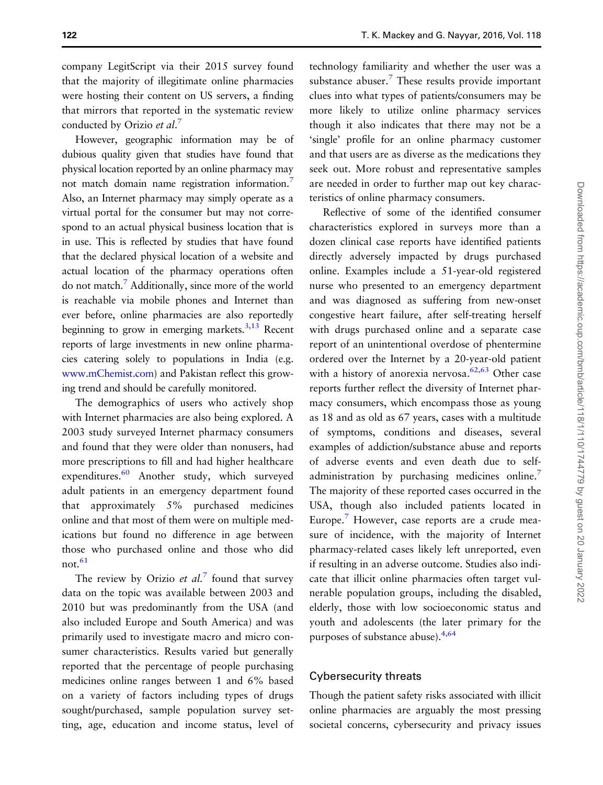company LegitScript via their 2015 survey found that the majority of illegitimate online pharmacies were hosting their content on US servers, a finding that mirrors that reported in the systematic review conducted by Orizio et al.<sup>[7](#page-13-0)</sup>

However, geographic information may be of dubious quality given that studies have found that physical location reported by an online pharmacy may not match domain name registration information[.7](#page-13-0) Also, an Internet pharmacy may simply operate as a virtual portal for the consumer but may not correspond to an actual physical business location that is in use. This is reflected by studies that have found that the declared physical location of a website and actual location of the pharmacy operations often do not match[.7](#page-13-0) Additionally, since more of the world is reachable via mobile phones and Internet than ever before, online pharmacies are also reportedly beginning to grow in emerging markets.<sup>3[,13](#page-14-0)</sup> Recent reports of large investments in new online pharmacies catering solely to populations in India (e.g. [www.mChemist.com\)](http://www.mChemist.com) and Pakistan reflect this growing trend and should be carefully monitored.

The demographics of users who actively shop with Internet pharmacies are also being explored. A 2003 study surveyed Internet pharmacy consumers and found that they were older than nonusers, had more prescriptions to fill and had higher healthcare expenditures. $60$  Another study, which surveyed adult patients in an emergency department found that approximately 5% purchased medicines online and that most of them were on multiple medications but found no difference in age between those who purchased online and those who did not  $61$ 

The review by Orizio *et al.*<sup>[7](#page-13-0)</sup> found that survey data on the topic was available between 2003 and 2010 but was predominantly from the USA (and also included Europe and South America) and was primarily used to investigate macro and micro consumer characteristics. Results varied but generally reported that the percentage of people purchasing medicines online ranges between 1 and 6% based on a variety of factors including types of drugs sought/purchased, sample population survey setting, age, education and income status, level of technology familiarity and whether the user was a substance abuser. $\frac{7}{7}$  $\frac{7}{7}$  $\frac{7}{7}$  These results provide important clues into what types of patients/consumers may be more likely to utilize online pharmacy services though it also indicates that there may not be a 'single' profile for an online pharmacy customer and that users are as diverse as the medications they seek out. More robust and representative samples are needed in order to further map out key characteristics of online pharmacy consumers.

Reflective of some of the identified consumer characteristics explored in surveys more than a dozen clinical case reports have identified patients directly adversely impacted by drugs purchased online. Examples include a 51-year-old registered nurse who presented to an emergency department and was diagnosed as suffering from new-onset congestive heart failure, after self-treating herself with drugs purchased online and a separate case report of an unintentional overdose of phentermine ordered over the Internet by a 20-year-old patient with a history of anorexia nervosa.<sup>[62,63](#page-15-0)</sup> Other case reports further reflect the diversity of Internet pharmacy consumers, which encompass those as young as 18 and as old as 67 years, cases with a multitude of symptoms, conditions and diseases, several examples of addiction/substance abuse and reports of adverse events and even death due to self-administration by purchasing medicines online.<sup>[7](#page-13-0)</sup> The majority of these reported cases occurred in the USA, though also included patients located in Europe.<sup>[7](#page-13-0)</sup> However, case reports are a crude measure of incidence, with the majority of Internet pharmacy-related cases likely left unreported, even if resulting in an adverse outcome. Studies also indicate that illicit online pharmacies often target vulnerable population groups, including the disabled, elderly, those with low socioeconomic status and youth and adolescents (the later primary for the purposes of substance abuse)[.4,](#page-13-0)[64](#page-15-0)

#### Cybersecurity threats

Though the patient safety risks associated with illicit online pharmacies are arguably the most pressing societal concerns, cybersecurity and privacy issues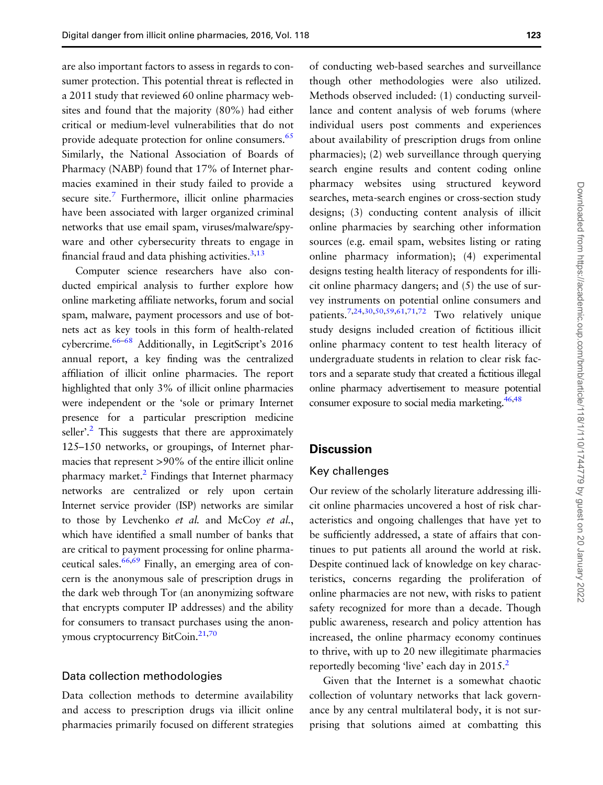are also important factors to assess in regards to consumer protection. This potential threat is reflected in a 2011 study that reviewed 60 online pharmacy websites and found that the majority (80%) had either critical or medium-level vulnerabilities that do not provide adequate protection for online consumers.<sup>65</sup> Similarly, the National Association of Boards of Pharmacy (NABP) found that 17% of Internet pharmacies examined in their study failed to provide a secure site.<sup>7</sup> Furthermore, illicit online pharmacies have been associated with larger organized criminal networks that use email spam, viruses/malware/spyware and other cybersecurity threats to engage in financial fraud and data phishing activities. $3,13$  $3,13$ 

Computer science researchers have also conducted empirical analysis to further explore how online marketing affiliate networks, forum and social spam, malware, payment processors and use of botnets act as key tools in this form of health-related cybercrime.<sup>[66](#page-15-0)–[68](#page-15-0)</sup> Additionally, in LegitScript's 2016 annual report, a key finding was the centralized affiliation of illicit online pharmacies. The report highlighted that only 3% of illicit online pharmacies were independent or the 'sole or primary Internet presence for a particular prescription medicine seller'.<sup>[2](#page-13-0)</sup> This suggests that there are approximately 125–150 networks, or groupings, of Internet pharmacies that represent >90% of the entire illicit online pharmacy market.<sup>[2](#page-13-0)</sup> Findings that Internet pharmacy networks are centralized or rely upon certain Internet service provider (ISP) networks are similar to those by Levchenko et al. and McCoy et al., which have identified a small number of banks that are critical to payment processing for online pharmaceutical sales.<sup>66,69</sup> Finally, an emerging area of concern is the anonymous sale of prescription drugs in the dark web through Tor (an anonymizing software that encrypts computer IP addresses) and the ability for consumers to transact purchases using the anon-ymous cryptocurrency BitCoin.<sup>21,[70](#page-16-0)</sup>

#### Data collection methodologies

Data collection methods to determine availability and access to prescription drugs via illicit online pharmacies primarily focused on different strategies

of conducting web-based searches and surveillance though other methodologies were also utilized. Methods observed included: (1) conducting surveillance and content analysis of web forums (where individual users post comments and experiences about availability of prescription drugs from online pharmacies); (2) web surveillance through querying search engine results and content coding online pharmacy websites using structured keyword searches, meta-search engines or cross-section study designs; (3) conducting content analysis of illicit online pharmacies by searching other information sources (e.g. email spam, websites listing or rating online pharmacy information); (4) experimental designs testing health literacy of respondents for illicit online pharmacy dangers; and (5) the use of survey instruments on potential online consumers and patients[.7](#page-13-0)[,24,30](#page-14-0)[,50,59,61,](#page-15-0)[71,72](#page-16-0) Two relatively unique study designs included creation of fictitious illicit online pharmacy content to test health literacy of undergraduate students in relation to clear risk factors and a separate study that created a fictitious illegal online pharmacy advertisement to measure potential consumer exposure to social media marketing.<sup>46,48</sup>

#### **Discussion**

#### Key challenges

Our review of the scholarly literature addressing illicit online pharmacies uncovered a host of risk characteristics and ongoing challenges that have yet to be sufficiently addressed, a state of affairs that continues to put patients all around the world at risk. Despite continued lack of knowledge on key characteristics, concerns regarding the proliferation of online pharmacies are not new, with risks to patient safety recognized for more than a decade. Though public awareness, research and policy attention has increased, the online pharmacy economy continues to thrive, with up to 20 new illegitimate pharmacies reportedly becoming 'live' each day in [2](#page-13-0)015.<sup>2</sup>

Given that the Internet is a somewhat chaotic collection of voluntary networks that lack governance by any central multilateral body, it is not surprising that solutions aimed at combatting this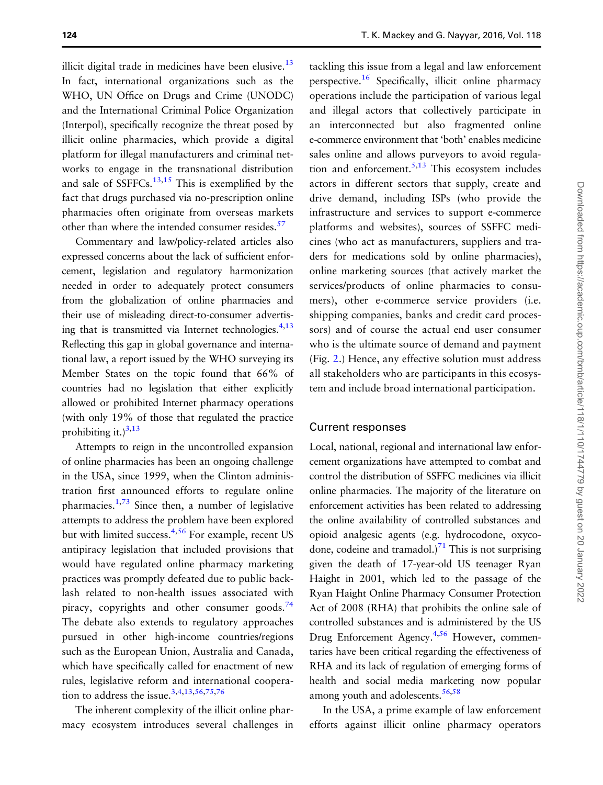illicit digital trade in medicines have been elusive. $13$ In fact, international organizations such as the WHO, UN Office on Drugs and Crime (UNODC) and the International Criminal Police Organization (Interpol), specifically recognize the threat posed by illicit online pharmacies, which provide a digital platform for illegal manufacturers and criminal networks to engage in the transnational distribution and sale of SSFFCs.<sup>[13,15](#page-14-0)</sup> This is exemplified by the fact that drugs purchased via no-prescription online pharmacies often originate from overseas markets other than where the intended consumer resides.<sup>[57](#page-15-0)</sup>

Commentary and law/policy-related articles also expressed concerns about the lack of sufficient enforcement, legislation and regulatory harmonization needed in order to adequately protect consumers from the globalization of online pharmacies and their use of misleading direct-to-consumer advertising that is transmitted via Internet technologies.  $4,13$  $4,13$ Reflecting this gap in global governance and international law, a report issued by the WHO surveying its Member States on the topic found that 66% of countries had no legislation that either explicitly allowed or prohibited Internet pharmacy operations (with only 19% of those that regulated the practice prohibiting it.) $3,13$  $3,13$ 

Attempts to reign in the uncontrolled expansion of online pharmacies has been an ongoing challenge in the USA, since 1999, when the Clinton administration first announced efforts to regulate online pharmacies. $1,73$  $1,73$  $1,73$  Since then, a number of legislative attempts to address the problem have been explored but with limited success.<sup>[4,](#page-13-0)[56](#page-15-0)</sup> For example, recent US antipiracy legislation that included provisions that would have regulated online pharmacy marketing practices was promptly defeated due to public backlash related to non-health issues associated with piracy, copyrights and other consumer goods.<sup>74</sup> The debate also extends to regulatory approaches pursued in other high-income countries/regions such as the European Union, Australia and Canada, which have specifically called for enactment of new rules, legislative reform and international coopera-tion to address the issue.<sup>3,4,[13](#page-14-0)[,56,](#page-15-0)[75,76](#page-16-0)</sup>

The inherent complexity of the illicit online pharmacy ecosystem introduces several challenges in tackling this issue from a legal and law enforcement perspective[.16](#page-14-0) Specifically, illicit online pharmacy operations include the participation of various legal and illegal actors that collectively participate in an interconnected but also fragmented online e-commerce environment that 'both' enables medicine sales online and allows purveyors to avoid regula-tion and enforcement.<sup>[5](#page-13-0)[,13](#page-14-0)</sup> This ecosystem includes actors in different sectors that supply, create and drive demand, including ISPs (who provide the infrastructure and services to support e-commerce platforms and websites), sources of SSFFC medicines (who act as manufacturers, suppliers and traders for medications sold by online pharmacies), online marketing sources (that actively market the services/products of online pharmacies to consumers), other e-commerce service providers (i.e. shipping companies, banks and credit card processors) and of course the actual end user consumer who is the ultimate source of demand and payment (Fig. [2](#page-10-0).) Hence, any effective solution must address all stakeholders who are participants in this ecosystem and include broad international participation.

#### Current responses

Local, national, regional and international law enforcement organizations have attempted to combat and control the distribution of SSFFC medicines via illicit online pharmacies. The majority of the literature on enforcement activities has been related to addressing the online availability of controlled substances and opioid analgesic agents (e.g. hydrocodone, oxyco-done, codeine and tramadol.)<sup>[71](#page-16-0)</sup> This is not surprising given the death of 17-year-old US teenager Ryan Haight in 2001, which led to the passage of the Ryan Haight Online Pharmacy Consumer Protection Act of 2008 (RHA) that prohibits the online sale of controlled substances and is administered by the US Drug Enforcement Agency.<sup>[4](#page-13-0)[,56](#page-15-0)</sup> However, commentaries have been critical regarding the effectiveness of RHA and its lack of regulation of emerging forms of health and social media marketing now popular among youth and adolescents. $56,58$ 

In the USA, a prime example of law enforcement efforts against illicit online pharmacy operators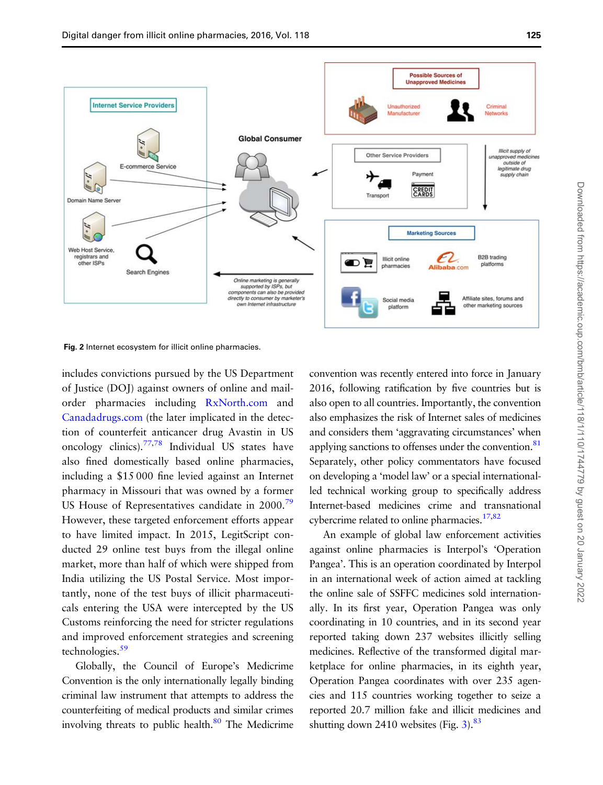<span id="page-10-0"></span>

Fig. 2 Internet ecosystem for illicit online pharmacies.

includes convictions pursued by the US Department of Justice (DOJ) against owners of online and mailorder pharmacies including [RxNorth.com](http://www.RxNorth.com) and [Canadadrugs.com](http://www.Canadadrugs.com) (the later implicated in the detection of counterfeit anticancer drug Avastin in US oncology clinics)[.77,78](#page-16-0) Individual US states have also fined domestically based online pharmacies, including a \$15 000 fine levied against an Internet pharmacy in Missouri that was owned by a former US House of Representatives candidate in 2000.<sup>79</sup> However, these targeted enforcement efforts appear to have limited impact. In 2015, LegitScript conducted 29 online test buys from the illegal online market, more than half of which were shipped from India utilizing the US Postal Service. Most importantly, none of the test buys of illicit pharmaceuticals entering the USA were intercepted by the US Customs reinforcing the need for stricter regulations and improved enforcement strategies and screening technologies.<sup>59</sup>

Globally, the Council of Europe's Medicrime Convention is the only internationally legally binding criminal law instrument that attempts to address the counterfeiting of medical products and similar crimes involving threats to public health. $80$  The Medicrime convention was recently entered into force in January 2016, following ratification by five countries but is also open to all countries. Importantly, the convention also emphasizes the risk of Internet sales of medicines and considers them 'aggravating circumstances' when applying sanctions to offenses under the convention.<sup>81</sup> Separately, other policy commentators have focused on developing a 'model law' or a special internationalled technical working group to specifically address Internet-based medicines crime and transnational cybercrime related to online pharmacies.<sup>[17](#page-14-0),[82](#page-16-0)</sup>

An example of global law enforcement activities against online pharmacies is Interpol's 'Operation Pangea'. This is an operation coordinated by Interpol in an international week of action aimed at tackling the online sale of SSFFC medicines sold internationally. In its first year, Operation Pangea was only coordinating in 10 countries, and in its second year reported taking down 237 websites illicitly selling medicines. Reflective of the transformed digital marketplace for online pharmacies, in its eighth year, Operation Pangea coordinates with over 235 agencies and 115 countries working together to seize a reported 20.7 million fake and illicit medicines and shutting down 2410 websites (Fig.  $3$ ).<sup>83</sup>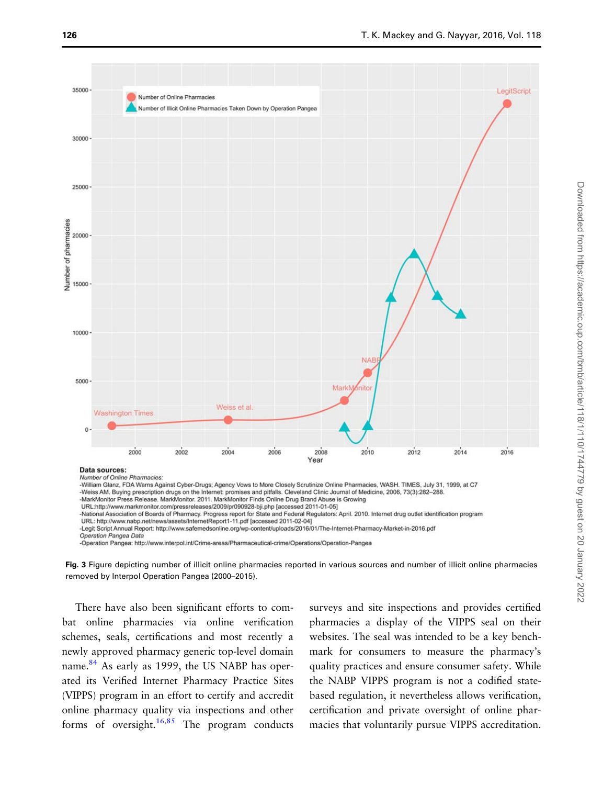<span id="page-11-0"></span>

-Operation Pangea: http://www.interpol.int/Crime-areas/Pharmaceutical-crime/Operations/Operation-Pangea

Fig. 3 Figure depicting number of illicit online pharmacies reported in various sources and number of illicit online pharmacies removed by Interpol Operation Pangea (2000–2015).

There have also been significant efforts to combat online pharmacies via online verification schemes, seals, certifications and most recently a newly approved pharmacy generic top-level domain name.<sup>[84](#page-16-0)</sup> As early as 1999, the US NABP has operated its Verified Internet Pharmacy Practice Sites (VIPPS) program in an effort to certify and accredit online pharmacy quality via inspections and other forms of oversight.<sup>[16](#page-14-0),[85](#page-16-0)</sup> The program conducts

surveys and site inspections and provides certified pharmacies a display of the VIPPS seal on their websites. The seal was intended to be a key benchmark for consumers to measure the pharmacy's quality practices and ensure consumer safety. While the NABP VIPPS program is not a codified statebased regulation, it nevertheless allows verification, certification and private oversight of online pharmacies that voluntarily pursue VIPPS accreditation.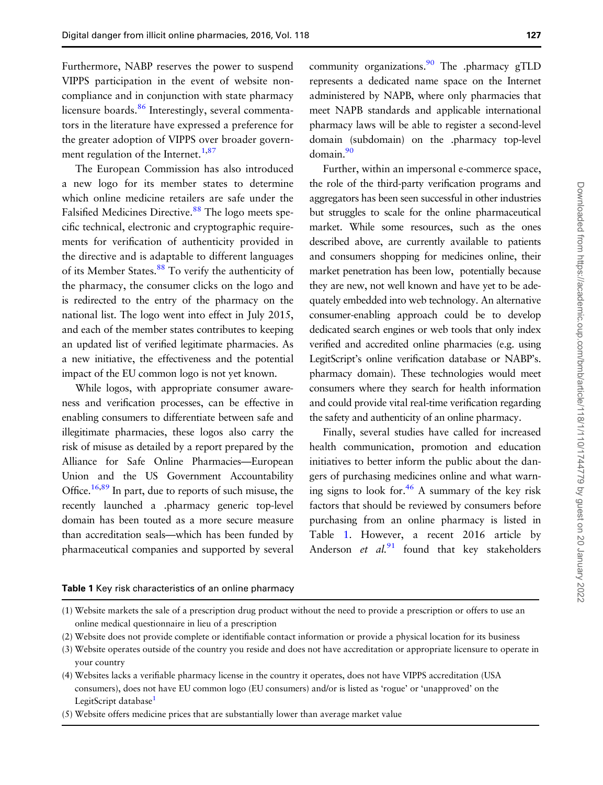Furthermore, NABP reserves the power to suspend VIPPS participation in the event of website noncompliance and in conjunction with state pharmacy licensure boards.<sup>[86](#page-16-0)</sup> Interestingly, several commentators in the literature have expressed a preference for the greater adoption of VIPPS over broader govern-ment regulation of the Internet.<sup>[1,](#page-13-0)[87](#page-16-0)</sup>

The European Commission has also introduced a new logo for its member states to determine which online medicine retailers are safe under the Falsified Medicines Directive.<sup>[88](#page-16-0)</sup> The logo meets specific technical, electronic and cryptographic requirements for verification of authenticity provided in the directive and is adaptable to different languages of its Member States.<sup>88</sup> To verify the authenticity of the pharmacy, the consumer clicks on the logo and is redirected to the entry of the pharmacy on the national list. The logo went into effect in July 2015, and each of the member states contributes to keeping an updated list of verified legitimate pharmacies. As a new initiative, the effectiveness and the potential impact of the EU common logo is not yet known.

While logos, with appropriate consumer awareness and verification processes, can be effective in enabling consumers to differentiate between safe and illegitimate pharmacies, these logos also carry the risk of misuse as detailed by a report prepared by the Alliance for Safe Online Pharmacies—European Union and the US Government Accountability Office.<sup>[16](#page-14-0),[89](#page-16-0)</sup> In part, due to reports of such misuse, the recently launched a .pharmacy generic top-level domain has been touted as a more secure measure than accreditation seals—which has been funded by pharmaceutical companies and supported by several

community organizations. $90$  The .pharmacy gTLD represents a dedicated name space on the Internet administered by NAPB, where only pharmacies that meet NAPB standards and applicable international pharmacy laws will be able to register a second-level domain (subdomain) on the .pharmacy top-level domain.<sup>[90](#page-16-0)</sup>

Further, within an impersonal e-commerce space, the role of the third-party verification programs and aggregators has been seen successful in other industries but struggles to scale for the online pharmaceutical market. While some resources, such as the ones described above, are currently available to patients and consumers shopping for medicines online, their market penetration has been low, potentially because they are new, not well known and have yet to be adequately embedded into web technology. An alternative consumer-enabling approach could be to develop dedicated search engines or web tools that only index verified and accredited online pharmacies (e.g. using LegitScript's online verification database or NABP's. pharmacy domain). These technologies would meet consumers where they search for health information and could provide vital real-time verification regarding the safety and authenticity of an online pharmacy.

Finally, several studies have called for increased health communication, promotion and education initiatives to better inform the public about the dangers of purchasing medicines online and what warning signs to look for.<sup>46</sup> A summary of the key risk factors that should be reviewed by consumers before purchasing from an online pharmacy is listed in Table 1. However, a recent 2016 article by Anderson et  $al^{91}$  $al^{91}$  $al^{91}$  found that key stakeholders

#### Table 1 Key risk characteristics of an online pharmacy

<sup>(1)</sup> Website markets the sale of a prescription drug product without the need to provide a prescription or offers to use an online medical questionnaire in lieu of a prescription

<sup>(2)</sup> Website does not provide complete or identifiable contact information or provide a physical location for its business

<sup>(3)</sup> Website operates outside of the country you reside and does not have accreditation or appropriate licensure to operate in your country

<sup>(4)</sup> Websites lacks a verifiable pharmacy license in the country it operates, does not have VIPPS accreditation (USA consumers), does not have EU common logo (EU consumers) and/or is listed as 'rogue' or 'unapproved' on the LegitScript database<sup>1</sup>

<sup>(5)</sup> Website offers medicine prices that are substantially lower than average market value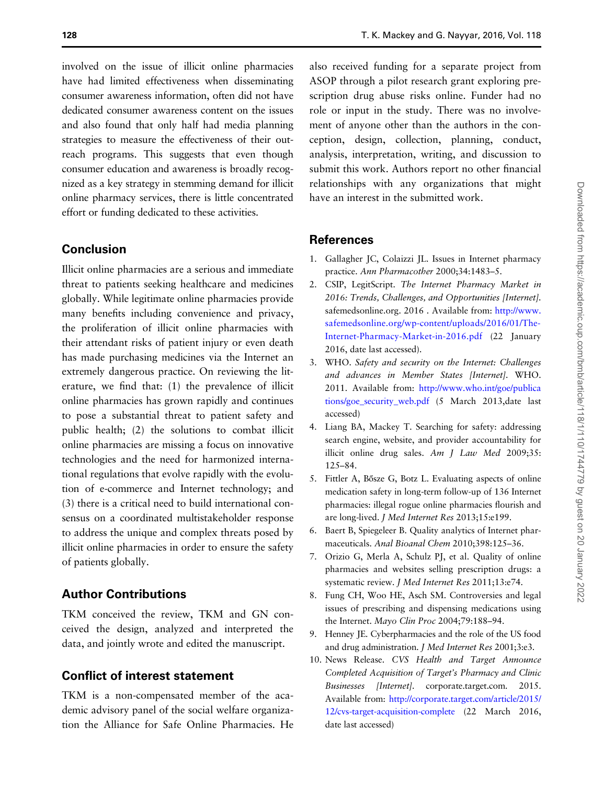<span id="page-13-0"></span>involved on the issue of illicit online pharmacies have had limited effectiveness when disseminating consumer awareness information, often did not have dedicated consumer awareness content on the issues and also found that only half had media planning strategies to measure the effectiveness of their outreach programs. This suggests that even though consumer education and awareness is broadly recognized as a key strategy in stemming demand for illicit online pharmacy services, there is little concentrated effort or funding dedicated to these activities.

# Conclusion

Illicit online pharmacies are a serious and immediate threat to patients seeking healthcare and medicines globally. While legitimate online pharmacies provide many benefits including convenience and privacy, the proliferation of illicit online pharmacies with their attendant risks of patient injury or even death has made purchasing medicines via the Internet an extremely dangerous practice. On reviewing the literature, we find that: (1) the prevalence of illicit online pharmacies has grown rapidly and continues to pose a substantial threat to patient safety and public health; (2) the solutions to combat illicit online pharmacies are missing a focus on innovative technologies and the need for harmonized international regulations that evolve rapidly with the evolution of e-commerce and Internet technology; and (3) there is a critical need to build international consensus on a coordinated multistakeholder response to address the unique and complex threats posed by illicit online pharmacies in order to ensure the safety of patients globally.

# Author Contributions

TKM conceived the review, TKM and GN conceived the design, analyzed and interpreted the data, and jointly wrote and edited the manuscript.

# Conflict of interest statement

TKM is a non-compensated member of the academic advisory panel of the social welfare organization the Alliance for Safe Online Pharmacies. He also received funding for a separate project from ASOP through a pilot research grant exploring prescription drug abuse risks online. Funder had no role or input in the study. There was no involvement of anyone other than the authors in the conception, design, collection, planning, conduct, analysis, interpretation, writing, and discussion to submit this work. Authors report no other financial relationships with any organizations that might have an interest in the submitted work.

#### **References**

- 1. Gallagher JC, Colaizzi JL. Issues in Internet pharmacy practice. Ann Pharmacother 2000;34:1483–5.
- 2. CSIP, LegitScript. The Internet Pharmacy Market in 2016: Trends, Challenges, and Opportunities [Internet]. safemedsonline.org. 2016 . Available from: [http://www.](http://www.safemedsonline.org/wp-content/uploads/2016/01/The-Internet-Pharmacy-Market-in-2016.pdf) [safemedsonline.org/wp-content/uploads/2016/01/The-](http://www.safemedsonline.org/wp-content/uploads/2016/01/The-Internet-Pharmacy-Market-in-2016.pdf)[Internet-Pharmacy-Market-in-2016.pdf](http://www.safemedsonline.org/wp-content/uploads/2016/01/The-Internet-Pharmacy-Market-in-2016.pdf) (22 January 2016, date last accessed).
- 3. WHO. Safety and security on the Internet: Challenges and advances in Member States [Internet]. WHO. 2011. Available from: [http://www.who.int/goe/publica](http://www.who.int/goe/publications/goe_security_web.pdf) [tions/goe\\_security\\_web.pdf](http://www.who.int/goe/publications/goe_security_web.pdf) (5 March 2013,date last accessed)
- 4. Liang BA, Mackey T. Searching for safety: addressing search engine, website, and provider accountability for illicit online drug sales. Am J Law Med 2009;35: 125–84.
- 5. Fittler A, Bősze G, Botz L. Evaluating aspects of online medication safety in long-term follow-up of 136 Internet pharmacies: illegal rogue online pharmacies flourish and are long-lived. J Med Internet Res 2013;15:e199.
- 6. Baert B, Spiegeleer B. Quality analytics of Internet pharmaceuticals. Anal Bioanal Chem 2010;398:125–36.
- 7. Orizio G, Merla A, Schulz PJ, et al. Quality of online pharmacies and websites selling prescription drugs: a systematic review. J Med Internet Res 2011;13:e74.
- 8. Fung CH, Woo HE, Asch SM. Controversies and legal issues of prescribing and dispensing medications using the Internet. Mayo Clin Proc 2004;79:188–94.
- 9. Henney JE. Cyberpharmacies and the role of the US food and drug administration. J Med Internet Res 2001;3:e3.
- 10. News Release. CVS Health and Target Announce Completed Acquisition of Target's Pharmacy and Clinic Businesses [Internet]. corporate.target.com. 2015. Available from: [http://corporate.target.com/article/2015/](http://corporate.target.com/article/2015/12/cvs-target-acquisition-complete) [12/cvs-target-acquisition-complete](http://corporate.target.com/article/2015/12/cvs-target-acquisition-complete) (22 March 2016, date last accessed)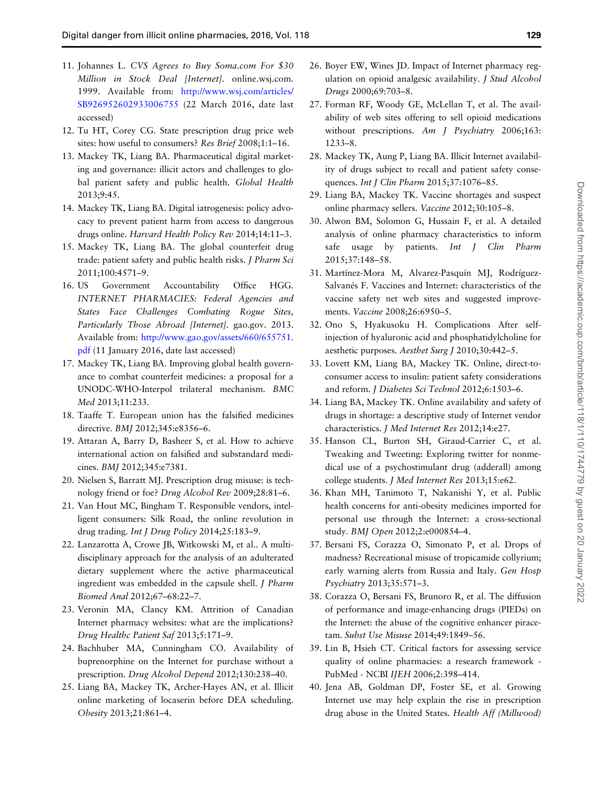- <span id="page-14-0"></span>11. Johannes L. CVS Agrees to Buy Soma.com For \$30 Million in Stock Deal [Internet]. online.wsj.com. 1999. Available from: [http://www.wsj.com/articles/](http://www.wsj.com/articles/SB926952602933006755) [SB926952602933006755](http://www.wsj.com/articles/SB926952602933006755) (22 March 2016, date last accessed)
- 12. Tu HT, Corey CG. State prescription drug price web sites: how useful to consumers? Res Brief 2008;1:1–16.
- 13. Mackey TK, Liang BA. Pharmaceutical digital marketing and governance: illicit actors and challenges to global patient safety and public health. Global Health 2013;9:45.
- 14. Mackey TK, Liang BA. Digital iatrogenesis: policy advocacy to prevent patient harm from access to dangerous drugs online. Harvard Health Policy Rev 2014;14:11–3.
- 15. Mackey TK, Liang BA. The global counterfeit drug trade: patient safety and public health risks. J Pharm Sci 2011;100:4571–9.
- 16. US Government Accountability Office HGG. INTERNET PHARMACIES: Federal Agencies and States Face Challenges Combating Rogue Sites, Particularly Those Abroad [Internet]. gao.gov. 2013. Available from: [http://www.gao.gov/assets/660/655751.](http://www.gao.gov/assets/660/655751.pdf) [pdf](http://www.gao.gov/assets/660/655751.pdf) (11 January 2016, date last accessed)
- 17. Mackey TK, Liang BA. Improving global health governance to combat counterfeit medicines: a proposal for a UNODC-WHO-Interpol trilateral mechanism. BMC Med 2013;11:233.
- 18. Taaffe T. European union has the falsified medicines directive. BMJ 2012;345:e8356–6.
- 19. Attaran A, Barry D, Basheer S, et al. How to achieve international action on falsified and substandard medicines. BMJ 2012;345:e7381.
- 20. Nielsen S, Barratt MJ. Prescription drug misuse: is technology friend or foe? Drug Alcohol Rev 2009;28:81–6.
- 21. Van Hout MC, Bingham T. Responsible vendors, intelligent consumers: Silk Road, the online revolution in drug trading. Int J Drug Policy 2014;25:183-9.
- 22. Lanzarotta A, Crowe JB, Witkowski M, et al.. A multidisciplinary approach for the analysis of an adulterated dietary supplement where the active pharmaceutical ingredient was embedded in the capsule shell. J Pharm Biomed Anal 2012;67–68:22–7.
- 23. Veronin MA, Clancy KM. Attrition of Canadian Internet pharmacy websites: what are the implications? Drug Healthc Patient Saf 2013;5:171–9.
- 24. Bachhuber MA, Cunningham CO. Availability of buprenorphine on the Internet for purchase without a prescription. Drug Alcohol Depend 2012;130:238–40.
- 25. Liang BA, Mackey TK, Archer-Hayes AN, et al. Illicit online marketing of locaserin before DEA scheduling. Obesity 2013;21:861–4.
- 26. Boyer EW, Wines JD. Impact of Internet pharmacy regulation on opioid analgesic availability. J Stud Alcohol Drugs 2000;69:703–8.
- 27. Forman RF, Woody GE, McLellan T, et al. The availability of web sites offering to sell opioid medications without prescriptions. Am J Psychiatry 2006;163: 1233–8.
- 28. Mackey TK, Aung P, Liang BA. Illicit Internet availability of drugs subject to recall and patient safety consequences. Int J Clin Pharm 2015;37:1076–85.
- 29. Liang BA, Mackey TK. Vaccine shortages and suspect online pharmacy sellers. Vaccine 2012;30:105–8.
- 30. Alwon BM, Solomon G, Hussain F, et al. A detailed analysis of online pharmacy characteristics to inform safe usage by patients. Int J Clin Pharm 2015;37:148–58.
- 31. Martínez-Mora M, Alvarez-Pasquín MJ, Rodríguez-Salvanés F. Vaccines and Internet: characteristics of the vaccine safety net web sites and suggested improvements. Vaccine 2008;26:6950–5.
- 32. Ono S, Hyakusoku H. Complications After selfinjection of hyaluronic acid and phosphatidylcholine for aesthetic purposes. Aesthet Surg J 2010;30:442–5.
- 33. Lovett KM, Liang BA, Mackey TK. Online, direct-toconsumer access to insulin: patient safety considerations and reform. J Diabetes Sci Technol 2012;6:1503–6.
- 34. Liang BA, Mackey TK. Online availability and safety of drugs in shortage: a descriptive study of Internet vendor characteristics. J Med Internet Res 2012;14:e27.
- 35. Hanson CL, Burton SH, Giraud-Carrier C, et al. Tweaking and Tweeting: Exploring twitter for nonmedical use of a psychostimulant drug (adderall) among college students. J Med Internet Res 2013;15:e62.
- 36. Khan MH, Tanimoto T, Nakanishi Y, et al. Public health concerns for anti-obesity medicines imported for personal use through the Internet: a cross-sectional study. BMJ Open 2012;2:e000854–4.
- 37. Bersani FS, Corazza O, Simonato P, et al. Drops of madness? Recreational misuse of tropicamide collyrium; early warning alerts from Russia and Italy. Gen Hosp Psychiatry 2013;35:571–3.
- 38. Corazza O, Bersani FS, Brunoro R, et al. The diffusion of performance and image-enhancing drugs (PIEDs) on the Internet: the abuse of the cognitive enhancer piracetam. Subst Use Misuse 2014;49:1849–56.
- 39. Lin B, Hsieh CT. Critical factors for assessing service quality of online pharmacies: a research framework - PubMed - NCBI IJEH 2006;2:398–414.
- 40. Jena AB, Goldman DP, Foster SE, et al. Growing Internet use may help explain the rise in prescription drug abuse in the United States. Health Aff (Millwood)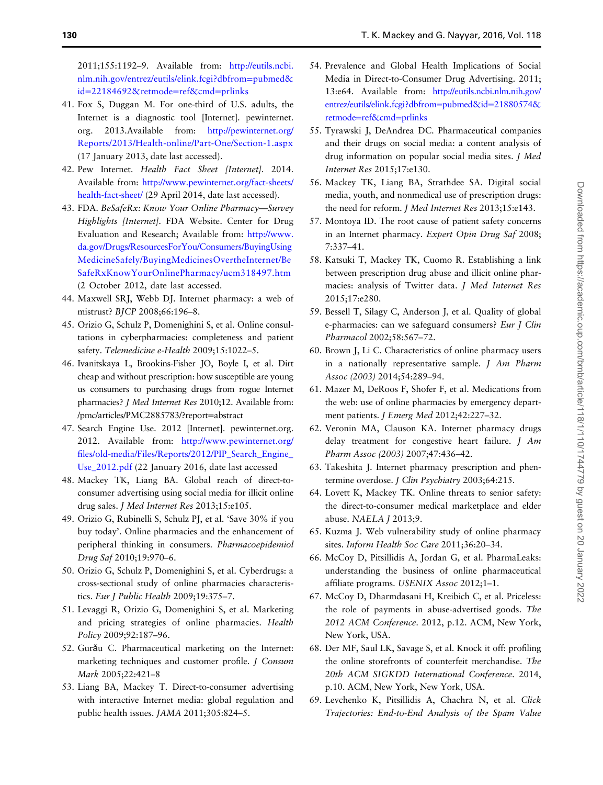<span id="page-15-0"></span>2011;155:1192–9. Available from: [http://eutils.ncbi.](http://eutils.ncbi.nlm.nih.gov/entrez/eutils/elink.fcgi?dbfrom=pubmed&id=22184692&retmode=ref&cmd=prlinks) [nlm.nih.gov/entrez/eutils/elink.fcgi?dbfrom](http://eutils.ncbi.nlm.nih.gov/entrez/eutils/elink.fcgi?dbfrom=pubmed&id=22184692&retmode=ref&cmd=prlinks)=pubmed& id=[22184692&retmode](http://eutils.ncbi.nlm.nih.gov/entrez/eutils/elink.fcgi?dbfrom=pubmed&id=22184692&retmode=ref&cmd=prlinks)=ref&cmd=prlinks

- 41. Fox S, Duggan M. For one-third of U.S. adults, the Internet is a diagnostic tool [Internet]. pewinternet. org. 2013.Available from: [http://pewinternet.org/](http://pewinternet.org/Reports/2013/Health-online/Part-One/Section-1.aspx) [Reports/2013/Health-online/Part-One/Section-1.aspx](http://pewinternet.org/Reports/2013/Health-online/Part-One/Section-1.aspx) (17 January 2013, date last accessed).
- 42. Pew Internet. Health Fact Sheet [Internet]. 2014. Available from: [http://www.pewinternet.org/fact-sheets/](http://www.pewinternet.org/fact-sheets/health-fact-sheet/) [health-fact-sheet/](http://www.pewinternet.org/fact-sheets/health-fact-sheet/) (29 April 2014, date last accessed).
- 43. FDA. BeSafeRx: Know Your Online Pharmacy—Survey Highlights [Internet]. FDA Website. Center for Drug Evaluation and Research; Available from: [http://www.](http://www.fda.gov/Drugs/ResourcesForYou/Consumers/BuyingUsingMedicineSafely/BuyingMedicinesOvertheInternet/BeSafeRxKnowYourOnlinePharmacy/ucm318497.htm) [da.gov/Drugs/ResourcesForYou/Consumers/BuyingUsing](http://www.fda.gov/Drugs/ResourcesForYou/Consumers/BuyingUsingMedicineSafely/BuyingMedicinesOvertheInternet/BeSafeRxKnowYourOnlinePharmacy/ucm318497.htm) [MedicineSafely/BuyingMedicinesOvertheInternet/Be](http://www.fda.gov/Drugs/ResourcesForYou/Consumers/BuyingUsingMedicineSafely/BuyingMedicinesOvertheInternet/BeSafeRxKnowYourOnlinePharmacy/ucm318497.htm) [SafeRxKnowYourOnlinePharmacy/ucm318497.htm](http://www.fda.gov/Drugs/ResourcesForYou/Consumers/BuyingUsingMedicineSafely/BuyingMedicinesOvertheInternet/BeSafeRxKnowYourOnlinePharmacy/ucm318497.htm) (2 October 2012, date last accessed.
- 44. Maxwell SRJ, Webb DJ. Internet pharmacy: a web of mistrust? BJCP 2008;66:196–8.
- 45. Orizio G, Schulz P, Domenighini S, et al. Online consultations in cyberpharmacies: completeness and patient safety. Telemedicine e-Health 2009;15:1022-5.
- 46. Ivanitskaya L, Brookins-Fisher JO, Boyle I, et al. Dirt cheap and without prescription: how susceptible are young us consumers to purchasing drugs from rogue Internet pharmacies? J Med Internet Res 2010;12. Available from: [/pmc/articles/PMC2885783/?report](http://dx.doi.org//pmc/articles/PMC2885783/?report=abstract)=abstract
- 47. Search Engine Use. 2012 [Internet]. pewinternet.org. 2012. Available from: [http://www.pewinternet.org/](http://www.pewinternet.org/files/old-media/Files/Reports/2012/PIP_Search_Engine_Use_2012.pdf) fi[les/old-media/Files/Reports/2012/PIP\\_Search\\_Engine\\_](http://www.pewinternet.org/files/old-media/Files/Reports/2012/PIP_Search_Engine_Use_2012.pdf) [Use\\_2012.pdf](http://www.pewinternet.org/files/old-media/Files/Reports/2012/PIP_Search_Engine_Use_2012.pdf) (22 January 2016, date last accessed
- 48. Mackey TK, Liang BA. Global reach of direct-toconsumer advertising using social media for illicit online drug sales. J Med Internet Res 2013;15:e105.
- 49. Orizio G, Rubinelli S, Schulz PJ, et al. 'Save 30% if you buy today'. Online pharmacies and the enhancement of peripheral thinking in consumers. Pharmacoepidemiol Drug Saf 2010;19:970–6.
- 50. Orizio G, Schulz P, Domenighini S, et al. Cyberdrugs: a cross-sectional study of online pharmacies characteristics. Eur J Public Health 2009;19:375–7.
- 51. Levaggi R, Orizio G, Domenighini S, et al. Marketing and pricing strategies of online pharmacies. Health Policy 2009;92:187–96.
- 52. Gurǎu C. Pharmaceutical marketing on the Internet: marketing techniques and customer profile. *J Consum* Mark 2005;22:421–8
- 53. Liang BA, Mackey T. Direct-to-consumer advertising with interactive Internet media: global regulation and public health issues. JAMA 2011;305:824–5.
- 54. Prevalence and Global Health Implications of Social Media in Direct-to-Consumer Drug Advertising. 2011; 13:e64. Available from: [http://eutils.ncbi.nlm.nih.gov/](http://eutils.ncbi.nlm.nih.gov/entrez/eutils/elink.fcgi?dbfrom=pubmed&id=21880574&retmode=ref&cmd=prlinks) [entrez/eutils/elink.fcgi?dbfrom](http://eutils.ncbi.nlm.nih.gov/entrez/eutils/elink.fcgi?dbfrom=pubmed&id=21880574&retmode=ref&cmd=prlinks)=pubmed&id=21880574& retmode=[ref&cmd](http://eutils.ncbi.nlm.nih.gov/entrez/eutils/elink.fcgi?dbfrom=pubmed&id=21880574&retmode=ref&cmd=prlinks)=prlinks
- 55. Tyrawski J, DeAndrea DC. Pharmaceutical companies and their drugs on social media: a content analysis of drug information on popular social media sites. J Med Internet Res 2015;17:e130.
- 56. Mackey TK, Liang BA, Strathdee SA. Digital social media, youth, and nonmedical use of prescription drugs: the need for reform. J Med Internet Res 2013;15:e143.
- 57. Montoya ID. The root cause of patient safety concerns in an Internet pharmacy. Expert Opin Drug Saf 2008; 7:337–41.
- 58. Katsuki T, Mackey TK, Cuomo R. Establishing a link between prescription drug abuse and illicit online pharmacies: analysis of Twitter data. J Med Internet Res 2015;17:e280.
- 59. Bessell T, Silagy C, Anderson J, et al. Quality of global e-pharmacies: can we safeguard consumers? Eur J Clin Pharmacol 2002;58:567–72.
- 60. Brown J, Li C. Characteristics of online pharmacy users in a nationally representative sample. J Am Pharm Assoc (2003) 2014;54:289–94.
- 61. Mazer M, DeRoos F, Shofer F, et al. Medications from the web: use of online pharmacies by emergency department patients. J Emerg Med 2012;42:227–32.
- 62. Veronin MA, Clauson KA. Internet pharmacy drugs delay treatment for congestive heart failure. J Am Pharm Assoc (2003) 2007;47:436–42.
- 63. Takeshita J. Internet pharmacy prescription and phentermine overdose. J Clin Psychiatry 2003;64:215.
- 64. Lovett K, Mackey TK. Online threats to senior safety: the direct-to-consumer medical marketplace and elder abuse. NAELA J 2013;9.
- 65. Kuzma J. Web vulnerability study of online pharmacy sites. Inform Health Soc Care 2011;36:20–34.
- 66. McCoy D, Pitsillidis A, Jordan G, et al. PharmaLeaks: understanding the business of online pharmaceutical affiliate programs. USENIX Assoc 2012;1–1.
- 67. McCoy D, Dharmdasani H, Kreibich C, et al. Priceless: the role of payments in abuse-advertised goods. The 2012 ACM Conference. 2012, p.12. ACM, New York, New York, USA.
- 68. Der MF, Saul LK, Savage S, et al. Knock it off: profiling the online storefronts of counterfeit merchandise. The 20th ACM SIGKDD International Conference. 2014, p.10. ACM, New York, New York, USA.
- 69. Levchenko K, Pitsillidis A, Chachra N, et al. Click Trajectories: End-to-End Analysis of the Spam Value